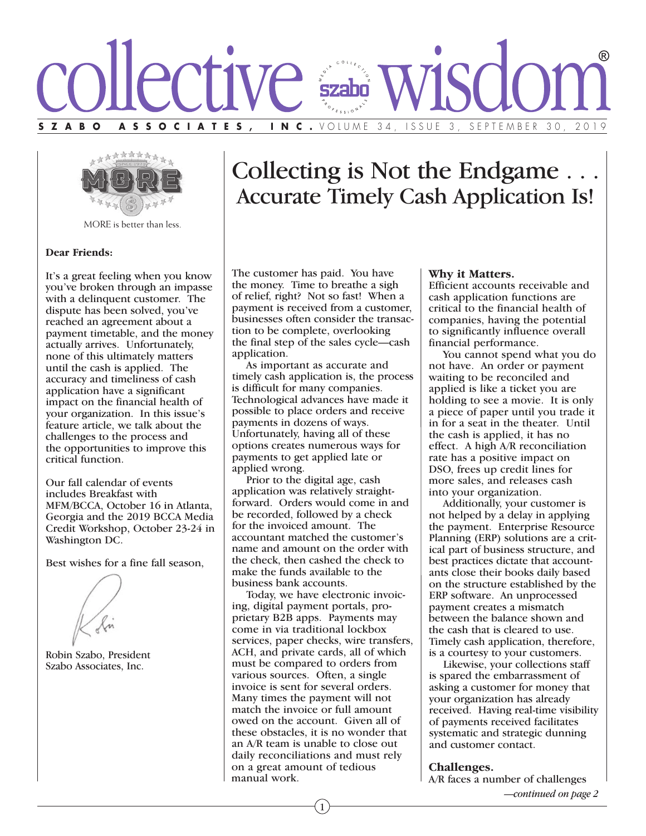



MORE is better than less.

### **Dear Friends:**

It's a great feeling when you know you've broken through an impasse with a delinquent customer. The dispute has been solved, you've reached an agreement about a payment timetable, and the money actually arrives. Unfortunately, none of this ultimately matters until the cash is applied. The accuracy and timeliness of cash application have a significant impact on the financial health of your organization. In this issue's feature article, we talk about the challenges to the process and the opportunities to improve this critical function.

Our fall calendar of events includes Breakfast with MFM/BCCA, October 16 in Atlanta, Georgia and the 2019 BCCA Media Credit Workshop, October 23-24 in Washington DC.

Best wishes for a fine fall season,



Robin Szabo, President Szabo Associates, Inc.

# Collecting is Not the Endgame . . . Accurate Timely Cash Application Is!

The customer has paid. You have the money. Time to breathe a sigh of relief, right? Not so fast! When a payment is received from a customer, businesses often consider the transaction to be complete, overlooking the final step of the sales cycle—cash application.

 As important as accurate and timely cash application is, the process is difficult for many companies. Technological advances have made it possible to place orders and receive payments in dozens of ways. Unfortunately, having all of these options creates numerous ways for payments to get applied late or applied wrong.

 Prior to the digital age, cash application was relatively straightforward. Orders would come in and be recorded, followed by a check for the invoiced amount. The accountant matched the customer's name and amount on the order with the check, then cashed the check to make the funds available to the business bank accounts.

 Today, we have electronic invoicing, digital payment portals, proprietary B2B apps. Payments may come in via traditional lockbox services, paper checks, wire transfers, ACH, and private cards, all of which must be compared to orders from various sources. Often, a single invoice is sent for several orders. Many times the payment will not match the invoice or full amount owed on the account. Given all of these obstacles, it is no wonder that an A/R team is unable to close out daily reconciliations and must rely on a great amount of tedious manual work.

#### **Why it Matters.**

Efficient accounts receivable and cash application functions are critical to the financial health of companies, having the potential to significantly influence overall financial performance.

 You cannot spend what you do not have. An order or payment waiting to be reconciled and applied is like a ticket you are holding to see a movie. It is only a piece of paper until you trade it in for a seat in the theater. Until the cash is applied, it has no effect. A high A/R reconciliation rate has a positive impact on DSO, frees up credit lines for more sales, and releases cash into your organization.

 Additionally, your customer is not helped by a delay in applying the payment. Enterprise Resource Planning (ERP) solutions are a critical part of business structure, and best practices dictate that accountants close their books daily based on the structure established by the ERP software. An unprocessed payment creates a mismatch between the balance shown and the cash that is cleared to use. Timely cash application, therefore, is a courtesy to your customers.

 Likewise, your collections staff is spared the embarrassment of asking a customer for money that your organization has already received. Having real-time visibility of payments received facilitates systematic and strategic dunning and customer contact.

#### **Challenges.**

A/R faces a number of challenges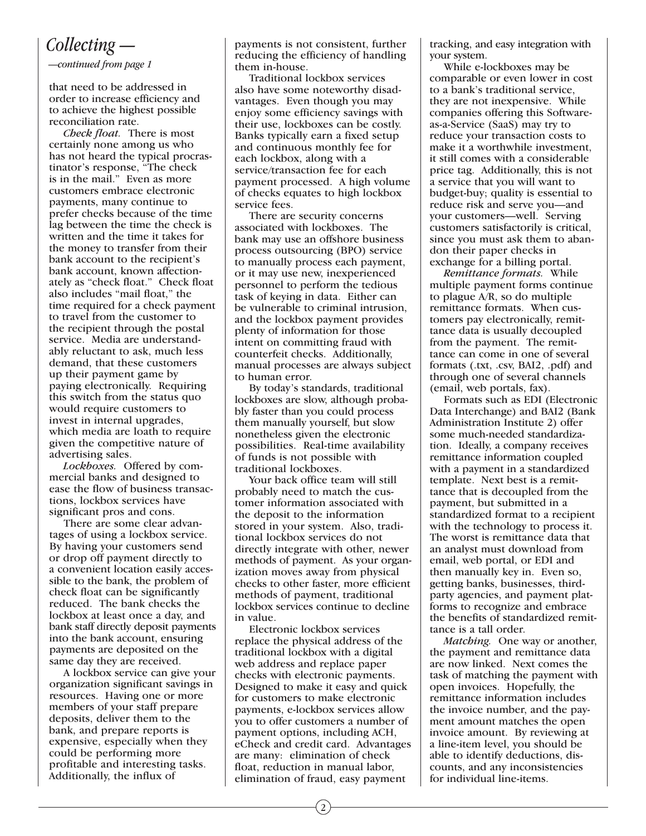## *Collecting —*

*—continued from page 1*

that need to be addressed in order to increase efficiency and to achieve the highest possible reconciliation rate.

 *Check float.* There is most certainly none among us who has not heard the typical procrastinator's response, "The check is in the mail." Even as more customers embrace electronic payments, many continue to prefer checks because of the time lag between the time the check is written and the time it takes for the money to transfer from their bank account to the recipient's bank account, known affectionately as "check float." Check float also includes "mail float," the time required for a check payment to travel from the customer to the recipient through the postal service. Media are understandably reluctant to ask, much less demand, that these customers up their payment game by paying electronically. Requiring this switch from the status quo would require customers to invest in internal upgrades, which media are loath to require given the competitive nature of advertising sales.

 *Lockboxes.* Offered by commercial banks and designed to ease the flow of business transactions, lockbox services have significant pros and cons.

 There are some clear advantages of using a lockbox service. By having your customers send or drop off payment directly to a convenient location easily accessible to the bank, the problem of check float can be significantly reduced. The bank checks the lockbox at least once a day, and bank staff directly deposit payments into the bank account, ensuring payments are deposited on the same day they are received.

 A lockbox service can give your organization significant savings in resources. Having one or more members of your staff prepare deposits, deliver them to the bank, and prepare reports is expensive, especially when they could be performing more profitable and interesting tasks. Additionally, the influx of

payments is not consistent, further reducing the efficiency of handling them in-house.

 Traditional lockbox services also have some noteworthy disadvantages. Even though you may enjoy some efficiency savings with their use, lockboxes can be costly. Banks typically earn a fixed setup and continuous monthly fee for each lockbox, along with a service/transaction fee for each payment processed. A high volume of checks equates to high lockbox service fees.

 There are security concerns associated with lockboxes. The bank may use an offshore business process outsourcing (BPO) service to manually process each payment, or it may use new, inexperienced personnel to perform the tedious task of keying in data. Either can be vulnerable to criminal intrusion, and the lockbox payment provides plenty of information for those intent on committing fraud with counterfeit checks. Additionally, manual processes are always subject to human error.

 By today's standards, traditional lockboxes are slow, although probably faster than you could process them manually yourself, but slow nonetheless given the electronic possibilities. Real-time availability of funds is not possible with traditional lockboxes.

 Your back office team will still probably need to match the customer information associated with the deposit to the information stored in your system. Also, traditional lockbox services do not directly integrate with other, newer methods of payment. As your organization moves away from physical checks to other faster, more efficient methods of payment, traditional lockbox services continue to decline in value.

 Electronic lockbox services replace the physical address of the traditional lockbox with a digital web address and replace paper checks with electronic payments. Designed to make it easy and quick for customers to make electronic payments, e-lockbox services allow you to offer customers a number of payment options, including ACH, eCheck and credit card. Advantages are many: elimination of check float, reduction in manual labor, elimination of fraud, easy payment

tracking, and easy integration with your system.

 While e-lockboxes may be comparable or even lower in cost to a bank's traditional service, they are not inexpensive. While companies offering this Softwareas-a-Service (SaaS) may try to reduce your transaction costs to make it a worthwhile investment, it still comes with a considerable price tag. Additionally, this is not a service that you will want to budget-buy; quality is essential to reduce risk and serve you—and your customers—well. Serving customers satisfactorily is critical, since you must ask them to abandon their paper checks in exchange for a billing portal.

 *Remittance formats.* While multiple payment forms continue to plague A/R, so do multiple remittance formats. When customers pay electronically, remittance data is usually decoupled from the payment. The remittance can come in one of several formats (.txt, .csv, BAI2, .pdf) and through one of several channels (email, web portals, fax).

 Formats such as EDI (Electronic Data Interchange) and BAI2 (Bank Administration Institute 2) offer some much-needed standardization. Ideally, a company receives remittance information coupled with a payment in a standardized template. Next best is a remittance that is decoupled from the payment, but submitted in a standardized format to a recipient with the technology to process it. The worst is remittance data that an analyst must download from email, web portal, or EDI and then manually key in. Even so, getting banks, businesses, thirdparty agencies, and payment platforms to recognize and embrace the benefits of standardized remittance is a tall order.

 *Matching.* One way or another, the payment and remittance data are now linked. Next comes the task of matching the payment with open invoices. Hopefully, the remittance information includes the invoice number, and the payment amount matches the open invoice amount. By reviewing at a line-item level, you should be able to identify deductions, discounts, and any inconsistencies for individual line-items.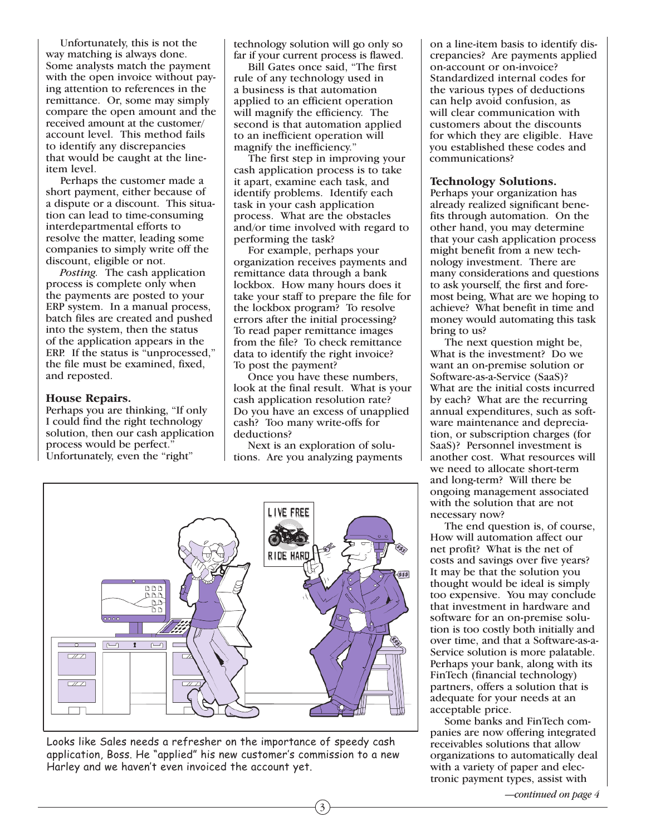Unfortunately, this is not the way matching is always done. Some analysts match the payment with the open invoice without paying attention to references in the remittance. Or, some may simply compare the open amount and the received amount at the customer/ account level. This method fails to identify any discrepancies that would be caught at the lineitem level.

 Perhaps the customer made a short payment, either because of a dispute or a discount. This situation can lead to time-consuming interdepartmental efforts to resolve the matter, leading some companies to simply write off the discount, eligible or not.

 *Posting.* The cash application process is complete only when the payments are posted to your ERP system. In a manual process, batch files are created and pushed into the system, then the status of the application appears in the ERP. If the status is "unprocessed," the file must be examined, fixed, and reposted.

### **House Repairs.**

Perhaps you are thinking, "If only I could find the right technology solution, then our cash application process would be perfect." Unfortunately, even the "right"

technology solution will go only so far if your current process is flawed.

 Bill Gates once said, "The first rule of any technology used in a business is that automation applied to an efficient operation will magnify the efficiency. The second is that automation applied to an inefficient operation will magnify the inefficiency."

 The first step in improving your cash application process is to take it apart, examine each task, and identify problems. Identify each task in your cash application process. What are the obstacles and/or time involved with regard to performing the task?

 For example, perhaps your organization receives payments and remittance data through a bank lockbox. How many hours does it take your staff to prepare the file for the lockbox program? To resolve errors after the initial processing? To read paper remittance images from the file? To check remittance data to identify the right invoice? To post the payment?

 Once you have these numbers, look at the final result. What is your cash application resolution rate? Do you have an excess of unapplied cash? Too many write-offs for deductions?

 Next is an exploration of solutions. Are you analyzing payments

3



Looks like Sales needs a refresher on the importance of speedy cash application, Boss. He "applied" his new customer's commission to a new Harley and we haven't even invoiced the account yet.

on a line-item basis to identify discrepancies? Are payments applied on-account or on-invoice? Standardized internal codes for the various types of deductions can help avoid confusion, as will clear communication with customers about the discounts for which they are eligible. Have you established these codes and communications?

### **Technology Solutions.**

Perhaps your organization has already realized significant benefits through automation. On the other hand, you may determine that your cash application process might benefit from a new technology investment. There are many considerations and questions to ask yourself, the first and foremost being, What are we hoping to achieve? What benefit in time and money would automating this task bring to us?

 The next question might be, What is the investment? Do we want an on-premise solution or Software-as-a-Service (SaaS)? What are the initial costs incurred by each? What are the recurring annual expenditures, such as software maintenance and depreciation, or subscription charges (for SaaS)? Personnel investment is another cost. What resources will we need to allocate short-term and long-term? Will there be ongoing management associated with the solution that are not necessary now?

 The end question is, of course, How will automation affect our net profit? What is the net of costs and savings over five years? It may be that the solution you thought would be ideal is simply too expensive. You may conclude that investment in hardware and software for an on-premise solution is too costly both initially and over time, and that a Software-as-a-Service solution is more palatable. Perhaps your bank, along with its FinTech (financial technology) partners, offers a solution that is adequate for your needs at an acceptable price.

 Some banks and FinTech companies are now offering integrated receivables solutions that allow organizations to automatically deal with a variety of paper and electronic payment types, assist with